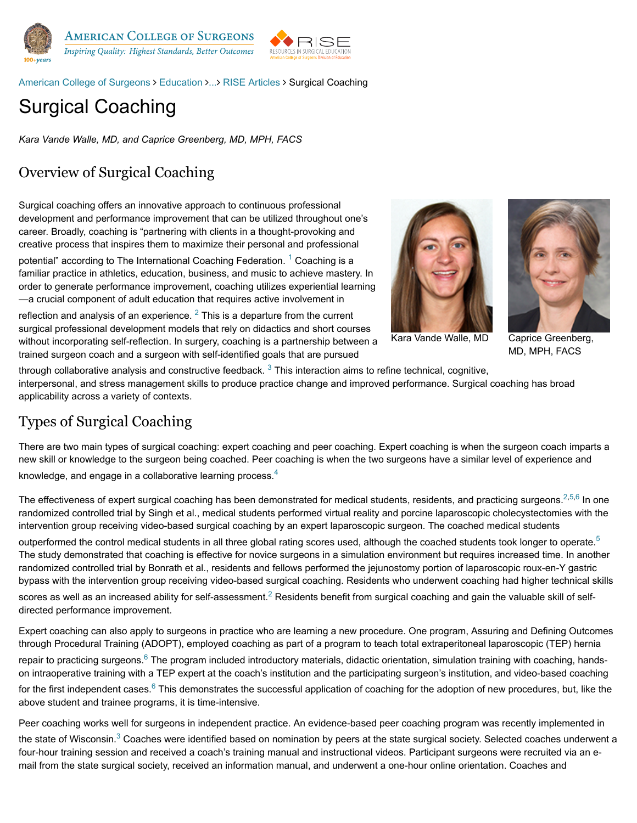

[American College of Surgeons](https://www.facs.org/) > [Education](https://www.facs.org/education) >... > [RISE Articles](https://www.facs.org/education/division-of-education/publications/rise/articles) > Surgical Coaching

# Surgical Coaching

*Kara Vande Walle, MD, and Caprice Greenberg, MD, MPH, FACS*

## Overview of Surgical Coaching

Surgical coaching offers an innovative approach to continuous professional development and performance improvement that can be utilized throughout one's career. Broadly, coaching is "partnering with clients in a thought-provoking and creative process that inspires them to maximize their personal and professional

potential" according to The International Coaching Federation. <sup>1</sup> Coaching is a familiar practice in athletics, education, business, and music to achieve mastery. In order to generate performance improvement, coaching utilizes experiential learning —a crucial component of adult education that requires active involvement in

reflection and analysis of an experience.  $2$  This is a departure from the current surgical professional development models that rely on didactics and short courses without incorporating self-reflection. In surgery, coaching is a partnership between a trained surgeon coach and a surgeon with self-identified goals that are pursued





Caprice Greenberg, MD, MPH, FACS

through collaborative analysis and constructive feedback.  $3$  This interaction aims to refine technical, cognitive, interpersonal, and stress management skills to produce practice change and improved performance. Surgical coaching has broad applicability across a variety of contexts.

### Types of Surgical Coaching

There are two main types of surgical coaching: expert coaching and peer coaching. Expert coaching is when the surgeon coach imparts a new skill or knowledge to the surgeon being coached. Peer coaching is when the two surgeons have a similar level of experience and knowledge, and engage in a collaborative learning process. $4$ 

The effectiveness of expert surgical coaching has been demonstrated for medical students, residents, and practicing surgeons.<sup>[2,](https://www.facs.org/education/division-of-education/publications/rise/articles/surg-coaching/references%23ref2)[5](https://www.facs.org/education/division-of-education/publications/rise/articles/surg-coaching/references%23ref5)[,6](https://www.facs.org/education/division-of-education/publications/rise/articles/surg-coaching/references%23ref6)</sup> In one randomized controlled trial by Singh et al., medical students performed virtual reality and porcine laparoscopic cholecystectomies with the intervention group receiving video-based surgical coaching by an expert laparoscopic surgeon. The coached medical students

outperformed the control medical students in all three global rating scores used, although the coached students took longer to operate.<sup>5</sup> The study demonstrated that coaching is effective for novice surgeons in a simulation environment but requires increased time. In another randomized controlled trial by Bonrath et al., residents and fellows performed the jejunostomy portion of laparoscopic roux-en-Y gastric bypass with the intervention group receiving video-based surgical coaching. Residents who underwent coaching had higher technical skills scores as well as an increased ability for self-assessment.<sup>2</sup> Residents benefit from surgical coaching and gain the valuable skill of selfdirected performance improvement.

Expert coaching can also apply to surgeons in practice who are learning a new procedure. One program, Assuring and Defining Outcomes through Procedural Training (ADOPT), employed coaching as part of a program to teach total extraperitoneal laparoscopic (TEP) hernia repair to practicing surgeons.<sup>6</sup> The program included introductory materials, didactic orientation, simulation training with coaching, handson intraoperative training with a TEP expert at the coach's institution and the participating surgeon's institution, and video-based coaching for the first independent cases.<sup>6</sup> This demonstrates the successful application of coaching for the adoption of new procedures, but, like the above student and trainee programs, it is time-intensive.

Peer coaching works well for surgeons in independent practice. An evidence-based peer coaching program was recently implemented in the state of Wisconsin.<sup>3</sup> Coaches were identified based on nomination by peers at the state surgical society. Selected coaches underwent a four-hour training session and received a coach's training manual and instructional videos. Participant surgeons were recruited via an email from the state surgical society, received an information manual, and underwent a one-hour online orientation. Coaches and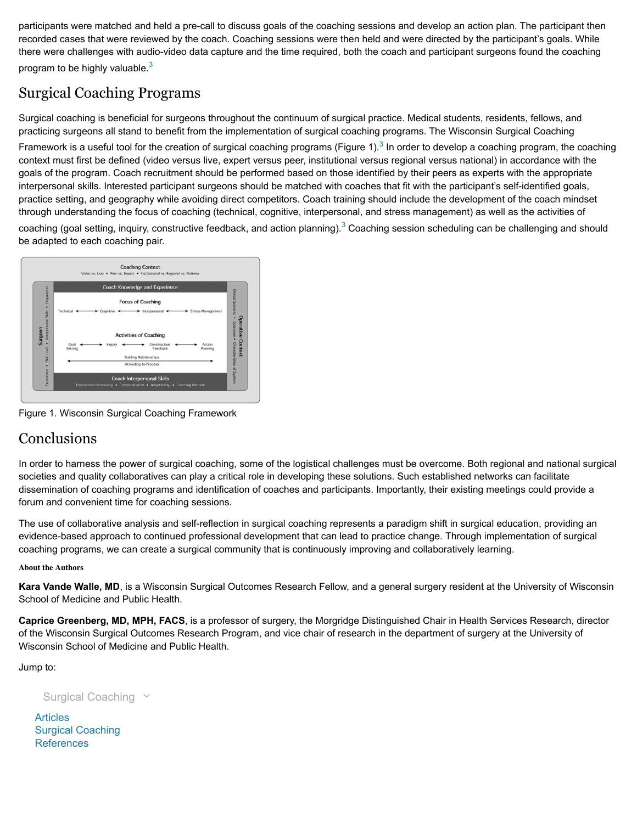participants were matched and held a pre-call to discuss goals of the coaching sessions and develop an action plan. The participant then recorded cases that were reviewed by the coach. Coaching sessions were then held and were directed by the participant's goals. While there were challenges with audio-video data capture and the time required, both the coach and participant surgeons found the coaching program to be highly valuable. $3$ 

## Surgical Coaching Programs

Surgical coaching is beneficial for surgeons throughout the continuum of surgical practice. Medical students, residents, fellows, and practicing surgeons all stand to benefit from the implementation of surgical coaching programs. The Wisconsin Surgical Coaching Framework is a useful tool for the creation of surgical coaching programs (Figure 1).<sup>3</sup> In order to develop a coaching program, the coaching context must first be defined (video versus live, expert versus peer, institutional versus regional versus national) in accordance with the goals of the program. Coach recruitment should be performed based on those identified by their peers as experts with the appropriate interpersonal skills. Interested participant surgeons should be matched with coaches that fit with the participant's self-identified goals, practice setting, and geography while avoiding direct competitors. Coach training should include the development of the coach mindset through understanding the focus of coaching (technical, cognitive, interpersonal, and stress management) as well as the activities of

coaching (goal setting, inquiry, constructive feedback, and action planning).<sup>3</sup> Coaching session scheduling can be challenging and should be adapted to each coaching pair.



Figure 1. Wisconsin Surgical Coaching Framework

#### **Conclusions**

In order to harness the power of surgical coaching, some of the logistical challenges must be overcome. Both regional and national surgical societies and quality collaboratives can play a critical role in developing these solutions. Such established networks can facilitate dissemination of coaching programs and identification of coaches and participants. Importantly, their existing meetings could provide a forum and convenient time for coaching sessions.

The use of collaborative analysis and self-reflection in surgical coaching represents a paradigm shift in surgical education, providing an evidence-based approach to continued professional development that can lead to practice change. Through implementation of surgical coaching programs, we can create a surgical community that is continuously improving and collaboratively learning.

#### **About the Authors**

**Kara Vande Walle, MD**, is a Wisconsin Surgical Outcomes Research Fellow, and a general surgery resident at the University of Wisconsin School of Medicine and Public Health.

**Caprice Greenberg, MD, MPH, FACS**, is a professor of surgery, the Morgridge Distinguished Chair in Health Services Research, director of the Wisconsin Surgical Outcomes Research Program, and vice chair of research in the department of surgery at the University of Wisconsin School of Medicine and Public Health.

Jump to:

Surgical Coaching  $\vee$ 

Articles Surgical Coaching References